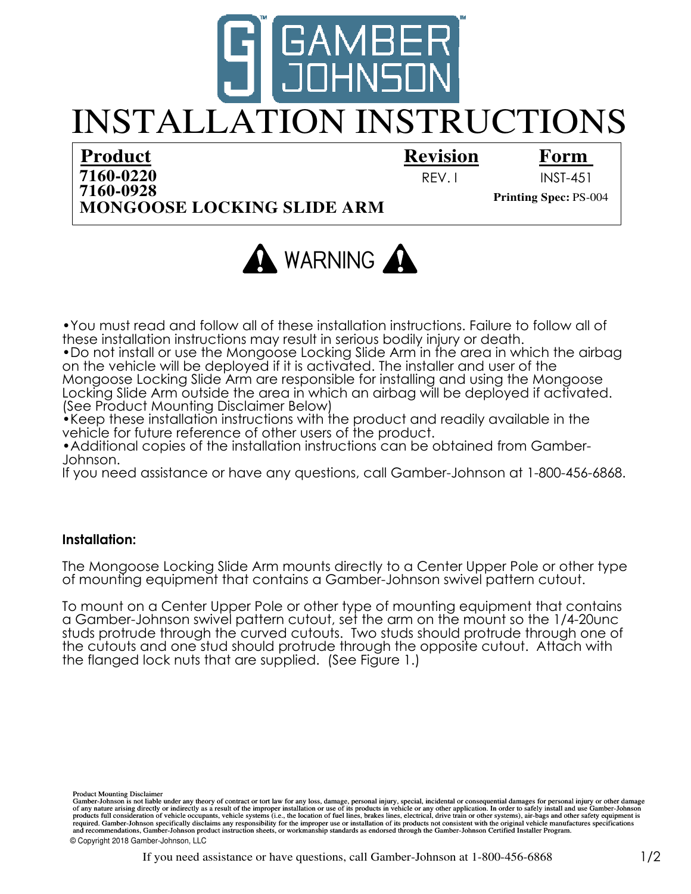

# INSTALLATION INSTRUCTIONS

## **Product**

## **Revision**

### **Form**

**MONGOOSE LOCKING SLIDE ARM 7160-0220 Printing Spec:** PS-004

REV. I INST-451



•You must read and follow all of these installation instructions. Failure to follow all of these installation instructions may result in serious bodily injury or death.

•Do not install or use the Mongoose Locking Slide Arm in the area in which the airbag on the vehicle will be deployed if it is activated. The installer and user of the Mongoose Locking Slide Arm are responsible for installing and using the Mongoose Locking Slide Arm outside the area in which an airbag will be deployed if activated. (See Product Mounting Disclaimer Below)

•Keep these installation instructions with the product and readily available in the vehicle for future reference of other users of the product.

•Additional copies of the installation instructions can be obtained from Gamber-Johnson.

If you need assistance or have any questions, call Gamber-Johnson at 1-800-456-6868.

#### **Installation:**

The Mongoose Locking Slide Arm mounts directly to a Center Upper Pole or other type of mounting equipment that contains a Gamber-Johnson swivel pattern cutout.

To mount on a Center Upper Pole or other type of mounting equipment that contains a Gamber-Johnson swivel pattern cutout, set the arm on the mount so the 1/4-20unc studs protrude through the curved cutouts. Two studs should protrude through one of the cutouts and one stud should protrude through the opposite cutout. Attach with the flanged lock nuts that are supplied. (See Figure 1.)

required. Gamber-Johnson specifically disclaims any responsibility for the improper use or installation of its products not consistent with the original vehicle manufactures specifications Product Mounting Disclaimer<br>Gamber-Johnson is not liable under any theory of contract or tort law for any loss, damage, personal injury, special, incidental or consequential damages for personal injury or other damage<br>of a and recommendations, Gamber-Johnson product instruction sheets, or workmanship standards as endorsed through the Gamber-Johnson Certified Installer Program. © Copyright 2018 Gamber-Johnson, LLC

If you need assistance or have questions, call Gamber-Johnson at  $1-800-456-6868$  1/2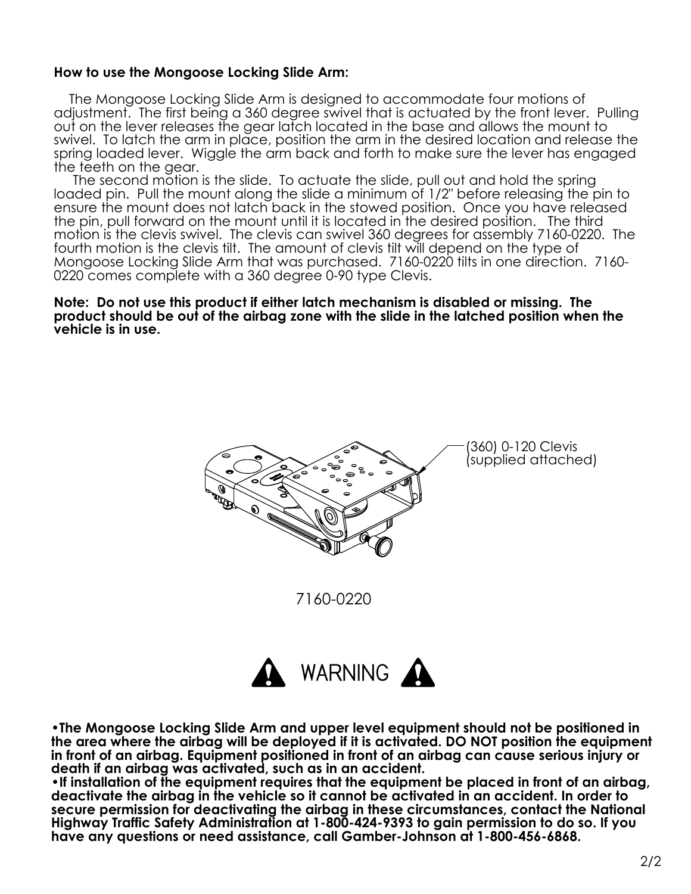#### **How to use the Mongoose Locking Slide Arm:**

 The Mongoose Locking Slide Arm is designed to accommodate four motions of adjustment. The first being a 360 degree swivel that is actuated by the front lever. Pulling out on the lever releases the gear latch located in the base and allows the mount to swivel. To latch the arm in place, position the arm in the desired location and release the spring loaded lever. Wiggle the arm back and forth to make sure the lever has engaged the teeth on the gear.

 The second motion is the slide. To actuate the slide, pull out and hold the spring loaded pin. Pull the mount along the slide a minimum of 1/2" before releasing the pin to ensure the mount does not latch back in the stowed position. Once you have released the pin, pull forward on the mount until it is located in the desired position. The third motion is the clevis swivel. The clevis can swivel 360 degrees for assembly 7160-0220. The fourth motion is the clevis tilt. The amount of clevis tilt will depend on the type of Mongoose Locking Slide Arm that was purchased. 7160-0220 tilts in one direction. 7160- 0220 comes complete with a 360 degree 0-90 type Clevis.

**Note: Do not use this product if either latch mechanism is disabled or missing. The product should be out of the airbag zone with the slide in the latched position when the vehicle is in use.**



**•The Mongoose Locking Slide Arm and upper level equipment should not be positioned in the area where the airbag will be deployed if it is activated. DO NOT position the equipment in front of an airbag. Equipment positioned in front of an airbag can cause serious injury or death if an airbag was activated, such as in an accident.**

**•If installation of the equipment requires that the equipment be placed in front of an airbag, deactivate the airbag in the vehicle so it cannot be activated in an accident. In order to secure permission for deactivating the airbag in these circumstances, contact the National Highway Traffic Safety Administration at 1-800-424-9393 to gain permission to do so. If you have any questions or need assistance, call Gamber-Johnson at 1-800-456-6868.**